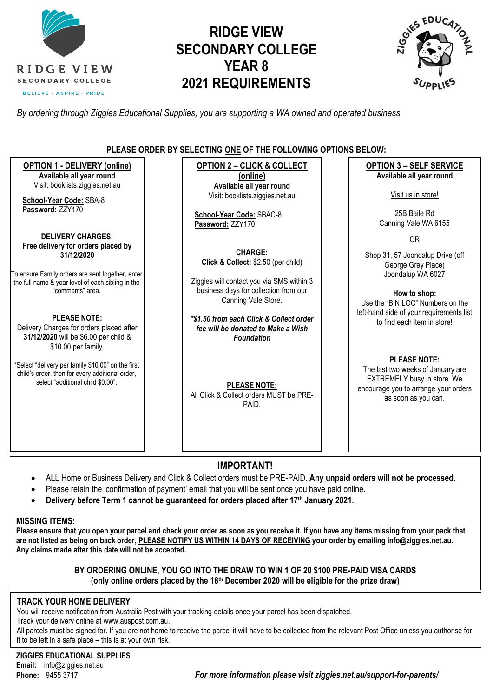

# **RIDGE VIEW SECONDARY COLLEGE YEAR 8 2021 REQUIREMENTS**



*By ordering through Ziggies Educational Supplies, you are supporting a WA owned and operated business.*

### **PLEASE ORDER BY SELECTING ONE OF THE FOLLOWING OPTIONS BELOW:**

**OPTION 1 - DELIVERY (online) Available all year round** Visit: [booklists.ziggies.net.au](http://www.booklists.ziggies.net.au/) **School-Year Code:** SBA-8 **Password:** ZZY170 **DELIVERY CHARGES: Free delivery for orders placed by 31/12/2020** To ensure Family orders are sent together, enter the full name & year level of each sibling in the "comments" area. **PLEASE NOTE:** Delivery Charges for orders placed after **31/12/2020** will be \$6.00 per child & \$10.00 per family. \*Select "delivery per family \$10.00" on the first child's order, then for every additional order, select "additional child \$0.00". **OPTION 2 – CLICK & COLLECT (online) Available all year round** Visit: [booklists.ziggies.net.au](http://www.booklists.ziggies.net.au/) **School-Year Code:** SBAC-8 **Password:** ZZY170 **CHARGE: Click & Collect:** \$2.50 (per child) Ziggies will contact you via SMS within 3 business days for collection from our Canning Vale Store. *\*\$1.50 from each Click & Collect order fee will be donated to Make a Wish Foundation* **PLEASE NOTE:** All Click & Collect orders MUST be PRE-PAID. **OPTION 3 – SELF SERVICE Available all year round** Visit us in store! 25B Baile Rd Canning Vale WA 6155 OR Shop 31, 57 Joondalup Drive (off George Grey Place) Joondalup WA 6027 **How to shop:** Use the "BIN LOC" Numbers on the left-hand side of your requirements list to find each item in store! **PLEASE NOTE:**  The last two weeks of January are EXTREMELY busy in store. We encourage you to arrange your orders as soon as you can.

### **IMPORTANT!**

- ALL Home or Business Delivery and Click & Collect orders must be PRE-PAID. **Any unpaid orders will not be processed.**
- Please retain the 'confirmation of payment' email that you will be sent once you have paid online.
- **Delivery before Term 1 cannot be guaranteed for orders placed after 17th January 2021.**

#### **MISSING ITEMS:**

**Please ensure that you open your parcel and check your order as soon as you receive it. If you have any items missing from your pack that are not listed as being on back order, PLEASE NOTIFY US WITHIN 14 DAYS OF RECEIVING your order by emailing info@ziggies.net.au. Any claims made after this date will not be accepted.**

### **BY ORDERING ONLINE, YOU GO INTO THE DRAW TO WIN 1 OF 20 \$100 PRE-PAID VISA CARDS (only online orders placed by the 18th December 2020 will be eligible for the prize draw)**

### **TRACK YOUR HOME DELIVERY**

You will receive notification from Australia Post with your tracking details once your parcel has been dispatched.

Track your delivery online at [www.auspost.com.au.](http://www.auspost.com.au/)

All parcels must be signed for. If you are not home to receive the parcel it will have to be collected from the relevant Post Office unless you authorise for it to be left in a safe place – this is at your own risk.

**ZIGGIES EDUCATIONAL SUPPLIES Email:** info@ziggies.net.au

**Phone:** 9455 3717 *For more information please visit ziggies.net.au/support-for-parents/*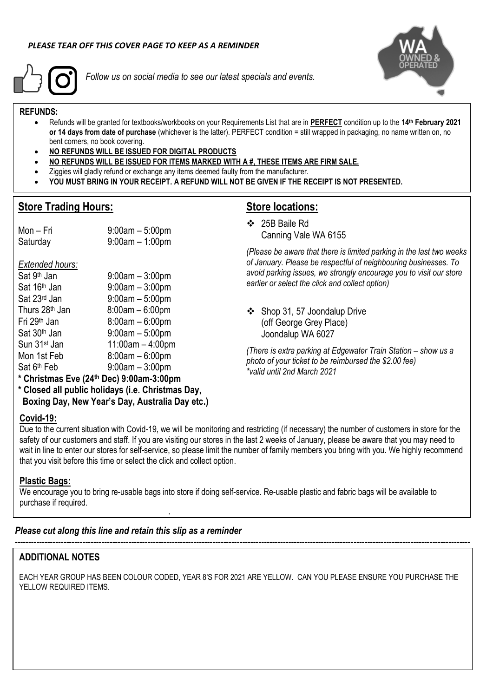

*Follow us on social media to see our latest specials and events.*



### **REFUNDS:**

- Refunds will be granted for textbooks/workbooks on your Requirements List that are in **PERFECT** condition up to the **14 th February 2021 or 14 days from date of purchase** (whichever is the latter). PERFECT condition = still wrapped in packaging, no name written on, no bent corners, no book covering.
- **NO REFUNDS WILL BE ISSUED FOR DIGITAL PRODUCTS**

 $9:00$ am –  $3:00$ pm

 $9:00$ am – 5:00pm

 $9:00$ am – 3:00pm

- **NO REFUNDS WILL BE ISSUED FOR ITEMS MARKED WITH A #, THESE ITEMS ARE FIRM SALE.**
- Ziggies will gladly refund or exchange any items deemed faulty from the manufacturer.
- **YOU MUST BRING IN YOUR RECEIPT. A REFUND WILL NOT BE GIVEN IF THE RECEIPT IS NOT PRESENTED.**

### **Store Trading Hours:**

*Extended hours:* Sat 9<sup>th</sup> Jan

## **Store locations:**

❖ 25B Baile Rd Canning Vale WA 6155

*(Please be aware that there is limited parking in the last two weeks of January. Please be respectful of neighbouring businesses. To avoid parking issues, we strongly encourage you to visit our store earlier or select the click and collect option)*

❖ Shop 31, 57 Joondalup Drive (off George Grey Place) Joondalup WA 6027

*(There is extra parking at Edgewater Train Station – show us a photo of your ticket to be reimbursed the \$2.00 fee) \*valid until 2nd March 2021*

**\* Christmas Eve (24th Dec) 9:00am-3:00pm**

Mon – Fri 9:00am – 5:00pm Saturday 9:00am – 1:00pm

 $\text{Sat } 16^{\text{th}}$  Jan  $\text{Sat } 23^{\text{rd}}$  Jan  $\text{Sat } 9:00$ am – 5:00pm

Thurs  $28<sup>th</sup>$  Jan  $8:00$ am –  $6:00$ pm Fri 29th Jan 8:00am – 6:00pm  $Sat 30<sup>th</sup> Jan$  9:00am – 5:00pm Sun 31st Jan 11:00am – 4:00pm Mon 1st Feb 8:00am – 6:00pm

**\* Closed all public holidays (i.e. Christmas Day, Boxing Day, New Year's Day, Australia Day etc.)**

### **Covid-19:**

Sat 6<sup>th</sup> Feb

Due to the current situation with Covid-19, we will be monitoring and restricting (if necessary) the number of customers in store for the safety of our customers and staff. If you are visiting our stores in the last 2 weeks of January, please be aware that you may need to wait in line to enter our stores for self-service, so please limit the number of family members you bring with you. We highly recommend that you visit before this time or select the click and collect option.

### **Plastic Bags:**

We encourage you to bring re-usable bags into store if doing self-service. Re-usable plastic and fabric bags will be available to purchase if required.

### *Please cut along this line and retain this slip as a reminder*

**.**

### **ADDITIONAL NOTES**

EACH YEAR GROUP HAS BEEN COLOUR CODED, YEAR 8'S FOR 2021 ARE YELLOW. CAN YOU PLEASE ENSURE YOU PURCHASE THE YELLOW REQUIRED ITEMS.

**------------------------------------------------------------------------------------------------------------------------------------------------------------------------**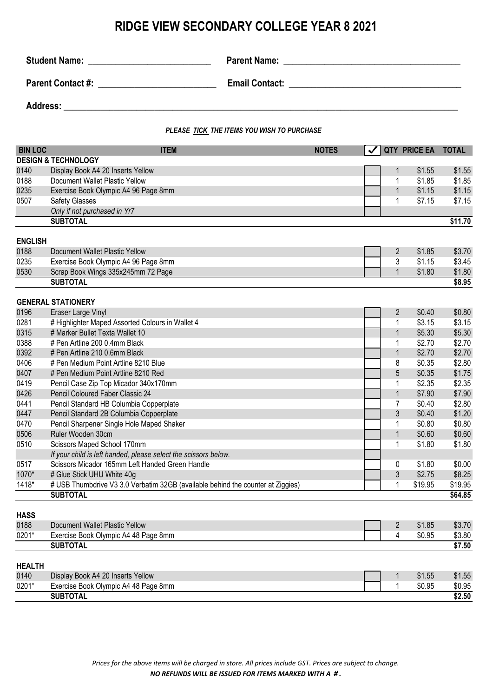## **RIDGE VIEW SECONDARY COLLEGE YEAR 8 2021**

| <b>Student Name:</b>     | <b>Parent Name:</b>                                      |
|--------------------------|----------------------------------------------------------|
|                          | <u> 1980 - Jan James Sand, Amerikaans en Staatsman (</u> |
| <b>Parent Contact #:</b> | <b>Email Contact:</b>                                    |
|                          |                                                          |
| <b>Address:</b>          |                                                          |

*PLEASE TICK THE ITEMS YOU WISH TO PURCHASE*

| <b>BIN LOC</b> | <b>ITEM</b>                                                                     | <b>NOTES</b><br>$\overline{\mathbf{v}}$ |                | QTY PRICE EA | <b>TOTAL</b> |
|----------------|---------------------------------------------------------------------------------|-----------------------------------------|----------------|--------------|--------------|
|                | <b>DESIGN &amp; TECHNOLOGY</b>                                                  |                                         |                |              |              |
| 0140           | Display Book A4 20 Inserts Yellow                                               |                                         | 1              | \$1.55       | \$1.55       |
| 0188           | Document Wallet Plastic Yellow                                                  |                                         | 1              | \$1.85       | \$1.85       |
| 0235           | Exercise Book Olympic A4 96 Page 8mm                                            |                                         | 1              | \$1.15       | \$1.15       |
| 0507           | <b>Safety Glasses</b>                                                           |                                         | 1              | \$7.15       | \$7.15       |
|                | Only if not purchased in Yr7                                                    |                                         |                |              |              |
|                | <b>SUBTOTAL</b>                                                                 |                                         |                |              | \$11.70      |
|                |                                                                                 |                                         |                |              |              |
| <b>ENGLISH</b> |                                                                                 |                                         |                |              |              |
| 0188           | Document Wallet Plastic Yellow                                                  |                                         | $\overline{2}$ | \$1.85       | \$3.70       |
| 0235           | Exercise Book Olympic A4 96 Page 8mm                                            |                                         | 3              | \$1.15       | \$3.45       |
| 0530           | Scrap Book Wings 335x245mm 72 Page                                              |                                         | $\mathbf{1}$   | \$1.80       | \$1.80       |
|                | <b>SUBTOTAL</b>                                                                 |                                         |                |              | \$8.95       |
|                | <b>GENERAL STATIONERY</b>                                                       |                                         |                |              |              |
| 0196           | Eraser Large Vinyl                                                              |                                         | $\overline{2}$ | \$0.40       | \$0.80       |
| 0281           | # Highlighter Maped Assorted Colours in Wallet 4                                |                                         | 1              | \$3.15       | \$3.15       |
| 0315           | # Marker Bullet Texta Wallet 10                                                 |                                         | $\mathbf{1}$   | \$5.30       | \$5.30       |
| 0388           | # Pen Artline 200 0.4mm Black                                                   |                                         | 1              | \$2.70       | \$2.70       |
| 0392           | # Pen Artline 210 0.6mm Black                                                   |                                         | $\mathbf{1}$   | \$2.70       | \$2.70       |
| 0406           | # Pen Medium Point Artline 8210 Blue                                            |                                         | 8              | \$0.35       | \$2.80       |
| 0407           | # Pen Medium Point Artline 8210 Red                                             |                                         | 5              | \$0.35       | \$1.75       |
| 0419           | Pencil Case Zip Top Micador 340x170mm                                           |                                         | 1              | \$2.35       | \$2.35       |
| 0426           | Pencil Coloured Faber Classic 24                                                |                                         | $\mathbf{1}$   | \$7.90       | \$7.90       |
| 0441           | Pencil Standard HB Columbia Copperplate                                         |                                         | 7              | \$0.40       | \$2.80       |
| 0447           | Pencil Standard 2B Columbia Copperplate                                         |                                         | 3              | \$0.40       | \$1.20       |
| 0470           | Pencil Sharpener Single Hole Maped Shaker                                       |                                         | 1              | \$0.80       | \$0.80       |
| 0506           | Ruler Wooden 30cm                                                               |                                         | $\mathbf{1}$   | \$0.60       | \$0.60       |
| 0510           | Scissors Maped School 170mm                                                     |                                         | 1              | \$1.80       | \$1.80       |
|                | If your child is left handed, please select the scissors below.                 |                                         |                |              |              |
| 0517           | Scissors Micador 165mm Left Handed Green Handle                                 |                                         | 0              | \$1.80       | \$0.00       |
| 1070*          | # Glue Stick UHU White 40g                                                      |                                         | $\mathfrak{Z}$ | \$2.75       | \$8.25       |
| 1418*          | # USB Thumbdrive V3 3.0 Verbatim 32GB (available behind the counter at Ziggies) |                                         | 1              | \$19.95      | \$19.95      |
|                | <b>SUBTOTAL</b>                                                                 |                                         |                |              | \$64.85      |
| <b>HASS</b>    |                                                                                 |                                         |                |              |              |
| 0188           | Document Wallet Plastic Yellow                                                  |                                         | $\overline{2}$ | \$1.85       | \$3.70       |
| 0201*          | Exercise Book Olympic A4 48 Page 8mm                                            |                                         | 4              | \$0.95       | \$3.80       |
|                | <b>SUBTOTAL</b>                                                                 |                                         |                |              | \$7.50       |
|                |                                                                                 |                                         |                |              |              |
| <b>HEALTH</b>  |                                                                                 |                                         |                |              |              |
| 0140           | Display Book A4 20 Inserts Yellow                                               |                                         | $\mathbf{1}$   | \$1.55       | \$1.55       |
| 0201*          | Exercise Book Olympic A4 48 Page 8mm                                            |                                         | 1              | \$0.95       | \$0.95       |
|                | <b>SUBTOTAL</b>                                                                 |                                         |                |              | \$2.50       |